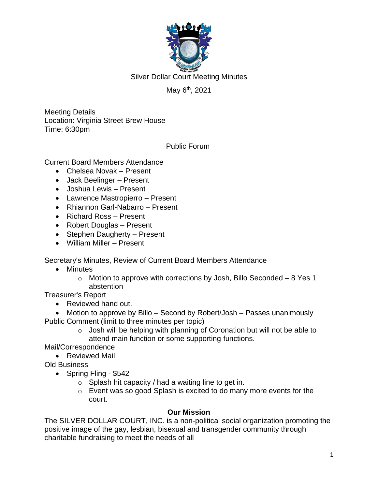

# May 6<sup>th</sup>, 2021

Meeting Details Location: Virginia Street Brew House Time: 6:30pm

Public Forum

Current Board Members Attendance

- Chelsea Novak Present
- Jack Beelinger Present
- Joshua Lewis Present
- Lawrence Mastropierro Present
- Rhiannon Garl-Nabarro Present
- Richard Ross Present
- Robert Douglas Present
- Stephen Daugherty Present
- William Miller Present

Secretary's Minutes, Review of Current Board Members Attendance

- Minutes
	- $\circ$  Motion to approve with corrections by Josh, Billo Seconded 8 Yes 1 abstention

Treasurer's Report

• Reviewed hand out.

• Motion to approve by Billo – Second by Robert/Josh – Passes unanimously Public Comment (limit to three minutes per topic)

 $\circ$  Josh will be helping with planning of Coronation but will not be able to attend main function or some supporting functions.

Mail/Correspondence

• Reviewed Mail

Old Business

- Spring Fling \$542
	- $\circ$  Splash hit capacity / had a waiting line to get in.
	- o Event was so good Splash is excited to do many more events for the court.

### **Our Mission**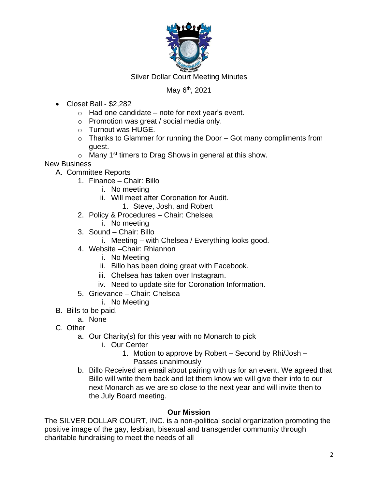

# May 6<sup>th</sup>, 2021

- Closet Ball \$2,282
	- $\circ$  Had one candidate note for next year's event.
	- o Promotion was great / social media only.
	- o Turnout was HUGE.
	- $\circ$  Thanks to Glammer for running the Door Got many compliments from guest.
	- $\circ$  Many 1<sup>st</sup> timers to Drag Shows in general at this show.

New Business

- A. Committee Reports
	- 1. Finance Chair: Billo
		- i. No meeting
		- ii. Will meet after Coronation for Audit.
			- 1. Steve, Josh, and Robert
	- 2. Policy & Procedures Chair: Chelsea
		- i. No meeting
	- 3. Sound Chair: Billo
		- i. Meeting with Chelsea / Everything looks good.
	- 4. Website –Chair: Rhiannon
		- i. No Meeting
		- ii. Billo has been doing great with Facebook.
		- iii. Chelsea has taken over Instagram.
		- iv. Need to update site for Coronation Information.
	- 5. Grievance Chair: Chelsea
		- i. No Meeting
- B. Bills to be paid.
	- a. None
- C. Other
	- a. Our Charity(s) for this year with no Monarch to pick
		- i. Our Center
			- 1. Motion to approve by Robert Second by Rhi/Josh Passes unanimously
	- b. Billo Received an email about pairing with us for an event. We agreed that Billo will write them back and let them know we will give their info to our next Monarch as we are so close to the next year and will invite then to the July Board meeting.

### **Our Mission**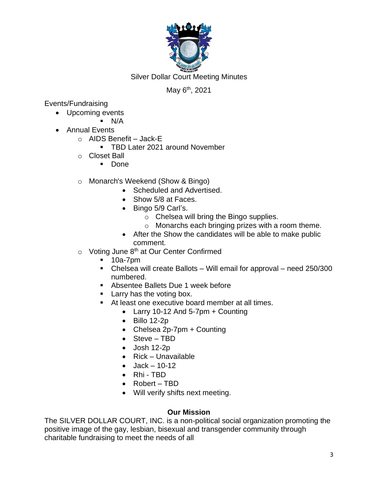

## May 6<sup>th</sup>, 2021

Events/Fundraising

- Upcoming events
	- $\blacksquare$  N/A
- Annual Events
	- $\circ$  AIDS Benefit Jack-E
		- TBD Later 2021 around November
	- o Closet Ball
		- Done
	- o Monarch's Weekend (Show & Bingo)
		- Scheduled and Advertised.
		- Show 5/8 at Faces.
		- Bingo 5/9 Carl's.
			- o Chelsea will bring the Bingo supplies.
			- o Monarchs each bringing prizes with a room theme.
		- After the Show the candidates will be able to make public comment.
	- $\circ$  Voting June 8<sup>th</sup> at Our Center Confirmed
		- 10a-7pm
		- Chelsea will create Ballots Will email for approval need 250/300 numbered.
		- Absentee Ballets Due 1 week before
		- Larry has the voting box.
		- At least one executive board member at all times.
			- Larry 10-12 And 5-7pm  $+$  Counting
			- $\bullet$  Billo 12-2p
			- Chelsea 2p-7pm + Counting
			- Steve TBD
			- Josh 12-2p
			- Rick Unavailable
			- $Jack 10-12$
			- Rhi TBD
			- Robert TBD
			- Will verify shifts next meeting.

### **Our Mission**